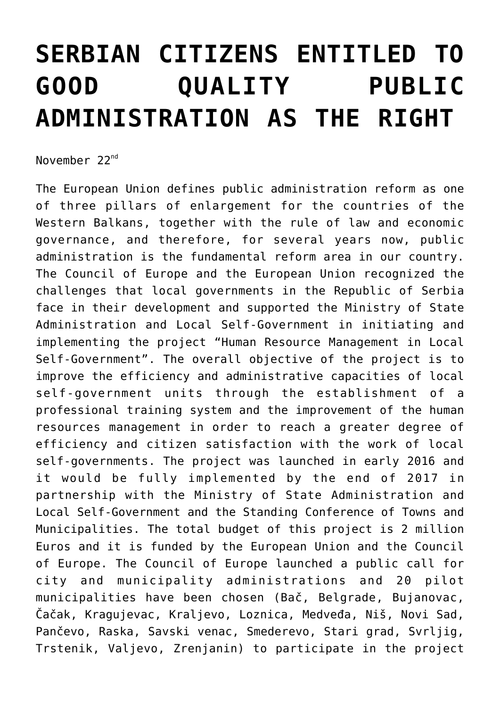## **[SERBIAN CITIZENS ENTITLED TO](https://www.gu.ni.rs/2017/11/22/serbian-citizens-entitled-to-good-quality-public-administration-as-the-right/) [GOOD QUALITY PUBLIC](https://www.gu.ni.rs/2017/11/22/serbian-citizens-entitled-to-good-quality-public-administration-as-the-right/) [ADMINISTRATION AS THE RIGHT](https://www.gu.ni.rs/2017/11/22/serbian-citizens-entitled-to-good-quality-public-administration-as-the-right/)**

November 22<sup>nd</sup>

The European Union defines public administration reform as one of three pillars of enlargement for the countries of the Western Balkans, together with the rule of law and economic governance, and therefore, for several years now, public administration is the fundamental reform area in our country. The Council of Europe and the European Union recognized the challenges that local governments in the Republic of Serbia face in their development and supported the Ministry of State Administration and Local Self-Government in initiating and implementing the project "Human Resource Management in Local Self-Government". The overall objective of the project is to improve the efficiency and administrative capacities of local self-government units through the establishment of a professional training system and the improvement of the human resources management in order to reach a greater degree of efficiency and citizen satisfaction with the work of local self-governments. The project was launched in early 2016 and it would be fully implemented by the end of 2017 in partnership with the Ministry of State Administration and Local Self-Government and the Standing Conference of Towns and Municipalities. The total budget of this project is 2 million Euros and it is funded by the European Union and the Council of Europe. The Council of Europe launched a public call for city and municipality administrations and 20 pilot municipalities have been chosen (Bač, Belgrade, Bujanovac, Čačak, Kragujevac, Kraljevo, Loznica, Medveđa, Niš, Novi Sad, Pančevo, Raska, Savski venac, Smederevo, Stari grad, Svrljig, Trstenik, Valjevo, Zrenjanin) to participate in the project